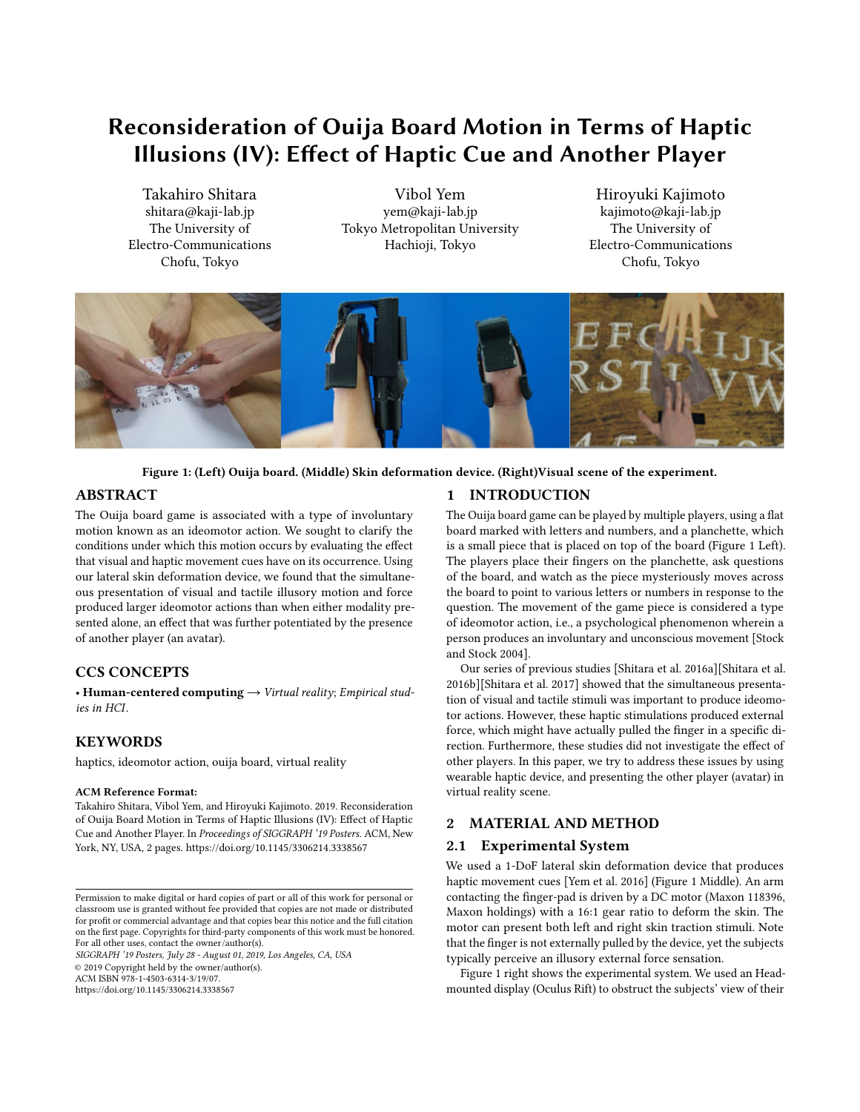# Reconsideration of Ouija Board Motion in Terms of Haptic Illusions (IV): Effect of Haptic Cue and Another Player

Takahiro Shitara shitara@kaji-lab.jp The University of Electro-Communications Chofu, Tokyo

Vibol Yem yem@kaji-lab.jp Tokyo Metropolitan University Hachioji, Tokyo

Hiroyuki Kajimoto kajimoto@kaji-lab.jp The University of Electro-Communications Chofu, Tokyo

<span id="page-0-0"></span>

#### Figure 1: (Left) Ouija board. (Middle) Skin deformation device. (Right)Visual scene of the experiment.

# ABSTRACT

The Ouija board game is associated with a type of involuntary motion known as an ideomotor action. We sought to clarify the conditions under which this motion occurs by evaluating the effect that visual and haptic movement cues have on its occurrence. Using our lateral skin deformation device, we found that the simultaneous presentation of visual and tactile illusory motion and force produced larger ideomotor actions than when either modality presented alone, an effect that was further potentiated by the presence of another player (an avatar).

# CCS CONCEPTS

• Human-centered computing  $\rightarrow$  Virtual reality; Empirical studies in HCI.

# **KEYWORDS**

haptics, ideomotor action, ouija board, virtual reality

#### ACM Reference Format:

Takahiro Shitara, Vibol Yem, and Hiroyuki Kajimoto. 2019. Reconsideration of Ouija Board Motion in Terms of Haptic Illusions (IV): Effect of Haptic Cue and Another Player. In Proceedings of SIGGRAPH '19 Posters. ACM, New York, NY, USA, [2](#page-1-0) pages.<https://doi.org/10.1145/3306214.3338567>

SIGGRAPH '19 Posters, July 28 - August 01, 2019, Los Angeles, CA, USA

© 2019 Copyright held by the owner/author(s).

ACM ISBN 978-1-4503-6314-3/19/07.

<https://doi.org/10.1145/3306214.3338567>

#### 1 INTRODUCTION

The Ouija board game can be played by multiple players, using a flat board marked with letters and numbers, and a planchette, which is a small piece that is placed on top of the board (Figure [1](#page-0-0) Left). The players place their fingers on the planchette, ask questions of the board, and watch as the piece mysteriously moves across the board to point to various letters or numbers in response to the question. The movement of the game piece is considered a type of ideomotor action, i.e., a psychological phenomenon wherein a person produces an involuntary and unconscious movement [\[Stock](#page-1-1) [and Stock 2004\]](#page-1-1).

Our series of previous studies [\[Shitara et al.](#page-1-2) [2016a\]](#page-1-2)[\[Shitara et al.](#page-1-3) [2016b\]](#page-1-3)[\[Shitara et al.](#page-1-4) [2017\]](#page-1-4) showed that the simultaneous presentation of visual and tactile stimuli was important to produce ideomotor actions. However, these haptic stimulations produced external force, which might have actually pulled the finger in a specific direction. Furthermore, these studies did not investigate the effect of other players. In this paper, we try to address these issues by using wearable haptic device, and presenting the other player (avatar) in virtual reality scene.

## 2 MATERIAL AND METHOD

#### 2.1 Experimental System

We used a 1-DoF lateral skin deformation device that produces haptic movement cues [\[Yem et al.](#page-1-5) [2016\]](#page-1-5) (Figure [1](#page-0-0) Middle). An arm contacting the finger-pad is driven by a DC motor (Maxon 118396, Maxon holdings) with a 16:1 gear ratio to deform the skin. The motor can present both left and right skin traction stimuli. Note that the finger is not externally pulled by the device, yet the subjects typically perceive an illusory external force sensation.

Figure [1](#page-0-0) right shows the experimental system. We used an Headmounted display (Oculus Rift) to obstruct the subjects' view of their

Permission to make digital or hard copies of part or all of this work for personal or classroom use is granted without fee provided that copies are not made or distributed for profit or commercial advantage and that copies bear this notice and the full citation on the first page. Copyrights for third-party components of this work must be honored. For all other uses, contact the owner/author(s).